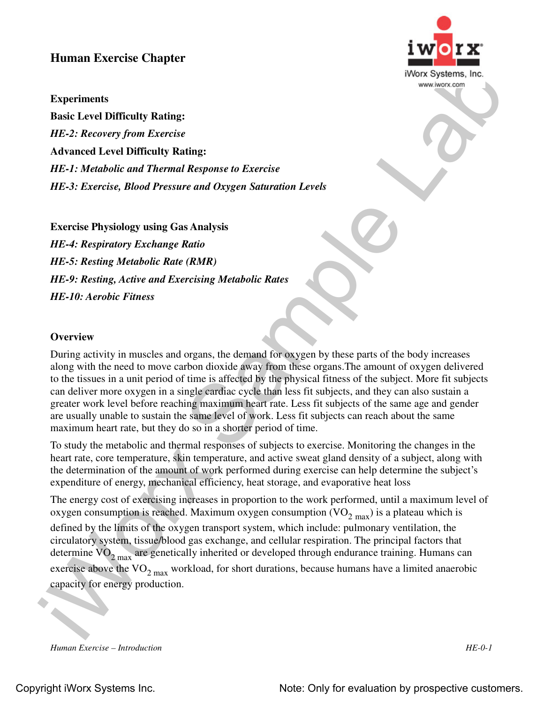## **Human Exercise Chapter**

## **Experiments**

**Basic Level Difficulty Rating:**  *HE-2: Recovery from Exercise* **Advanced Level Difficulty Rating:**  *HE-1: Metabolic and Thermal Response to Exercise HE-3: Exercise, Blood Pressure and Oxygen Saturation Levels*

**Exercise Physiology using Gas Analysis** *HE-4: Respiratory Exchange Ratio HE-5: Resting Metabolic Rate (RMR) HE-9: Resting, Active and Exercising Metabolic Rates HE-10: Aerobic Fitness*

## **Overview**

During activity in muscles and organs, the demand for oxygen by these parts of the body increases along with the need to move carbon dioxide away from these organs.The amount of oxygen delivered to the tissues in a unit period of time is affected by the physical fitness of the subject. More fit subjects can deliver more oxygen in a single cardiac cycle than less fit subjects, and they can also sustain a greater work level before reaching maximum heart rate. Less fit subjects of the same age and gender are usually unable to sustain the same level of work. Less fit subjects can reach about the same maximum heart rate, but they do so in a shorter period of time.

To study the metabolic and thermal responses of subjects to exercise. Monitoring the changes in the heart rate, core temperature, skin temperature, and active sweat gland density of a subject, along with the determination of the amount of work performed during exercise can help determine the subject's expenditure of energy, mechanical efficiency, heat storage, and evaporative heat loss

Frame Externa Compact (Externa)<br>
Experiments Response to External Theorem (External Theorem 2013)<br>
LEEE: Recovery from Exterior<br>
Actionated Level Difficulty Rating:<br>
LEEE: Recovery from Exterior<br>
HEE: A Regulator Pressure The energy cost of exercising increases in proportion to the work performed, until a maximum level of oxygen consumption is reached. Maximum oxygen consumption  $\rm (VO_{2~max})$  is a plateau which is defined by the limits of the oxygen transport system, which include: pulmonary ventilation, the circulatory system, tissue/blood gas exchange, and cellular respiration. The principal factors that determine  $\rm{VO}_{2\,max}$  are genetically inherited or developed through endurance training. Humans can exercise above the  $VO_{2, max}$  workload, for short durations, because humans have a limited anaerobic capacity for energy production.

*Human Exercise – Introduction HE-0-1*

Copyright iWorx Systems Inc. The Copyright iWorx Systems Inc. Note: Only for evaluation by prospective customers.